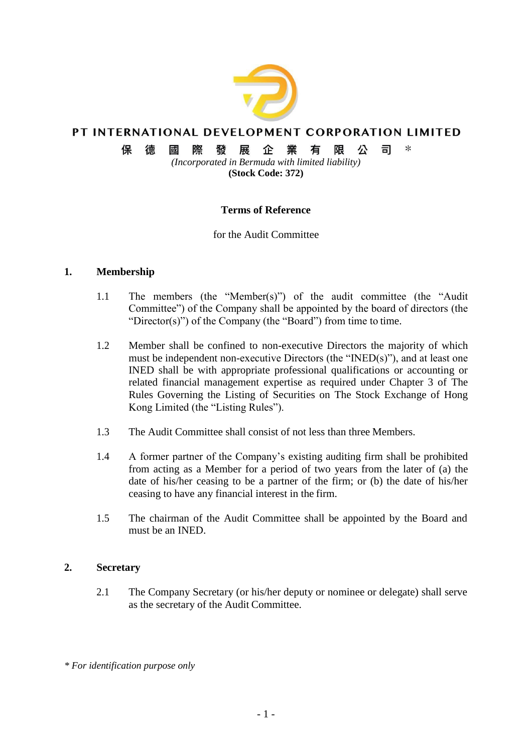

# PT INTERNATIONAL DEVELOPMENT CORPORATION LIMITED

#### $\ast$ 保 德 或 際 發展 企業 限 公 司 有

*(Incorporated in Bermuda with limited liability)* **(Stock Code: 372)**

# **Terms of Reference**

for the Audit Committee

#### **1. Membership**

- 1.1 The members (the "Member(s)") of the audit committee (the "Audit Committee") of the Company shall be appointed by the board of directors (the "Director(s)") of the Company (the "Board") from time to time.
- 1.2 Member shall be confined to non-executive Directors the majority of which must be independent non-executive Directors (the "INED(s)"), and at least one INED shall be with appropriate professional qualifications or accounting or related financial management expertise as required under Chapter 3 of The Rules Governing the Listing of Securities on The Stock Exchange of Hong Kong Limited (the "Listing Rules").
- 1.3 The Audit Committee shall consist of not less than three Members.
- 1.4 A former partner of the Company's existing auditing firm shall be prohibited from acting as a Member for a period of two years from the later of (a) the date of his/her ceasing to be a partner of the firm; or (b) the date of his/her ceasing to have any financial interest in the firm.
- 1.5 The chairman of the Audit Committee shall be appointed by the Board and must be an INED.

#### **2. Secretary**

2.1 The Company Secretary (or his/her deputy or nominee or delegate) shall serve as the secretary of the Audit Committee.

*<sup>\*</sup> For identification purpose only*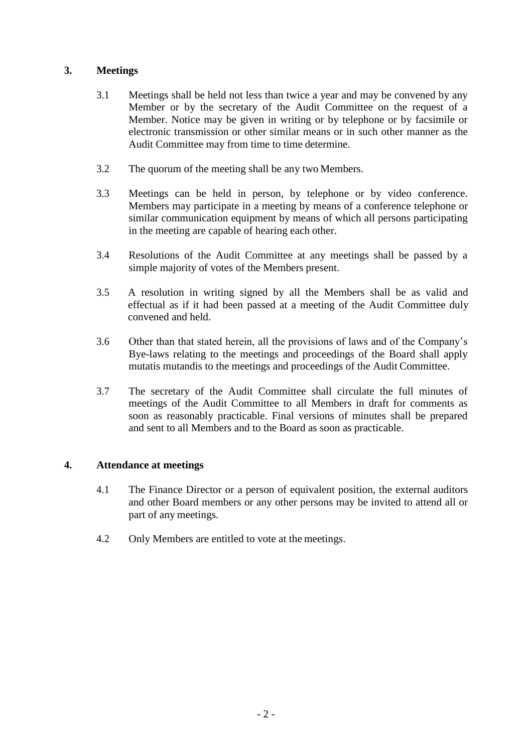# **3. Meetings**

- 3.1 Meetings shall be held not less than twice a year and may be convened by any Member or by the secretary of the Audit Committee on the request of a Member. Notice may be given in writing or by telephone or by facsimile or electronic transmission or other similar means or in such other manner as the Audit Committee may from time to time determine.
- 3.2 The quorum of the meeting shall be any two Members.
- 3.3 Meetings can be held in person, by telephone or by video conference. Members may participate in a meeting by means of a conference telephone or similar communication equipment by means of which all persons participating in the meeting are capable of hearing each other.
- 3.4 Resolutions of the Audit Committee at any meetings shall be passed by a simple majority of votes of the Members present.
- 3.5 A resolution in writing signed by all the Members shall be as valid and effectual as if it had been passed at a meeting of the Audit Committee duly convened and held.
- 3.6 Other than that stated herein, all the provisions of laws and of the Company's Bye-laws relating to the meetings and proceedings of the Board shall apply mutatis mutandis to the meetings and proceedings of the Audit Committee.
- 3.7 The secretary of the Audit Committee shall circulate the full minutes of meetings of the Audit Committee to all Members in draft for comments as soon as reasonably practicable. Final versions of minutes shall be prepared and sent to all Members and to the Board as soon as practicable.

# **4. Attendance at meetings**

- 4.1 The Finance Director or a person of equivalent position, the external auditors and other Board members or any other persons may be invited to attend all or part of any meetings.
- 4.2 Only Members are entitled to vote at the meetings.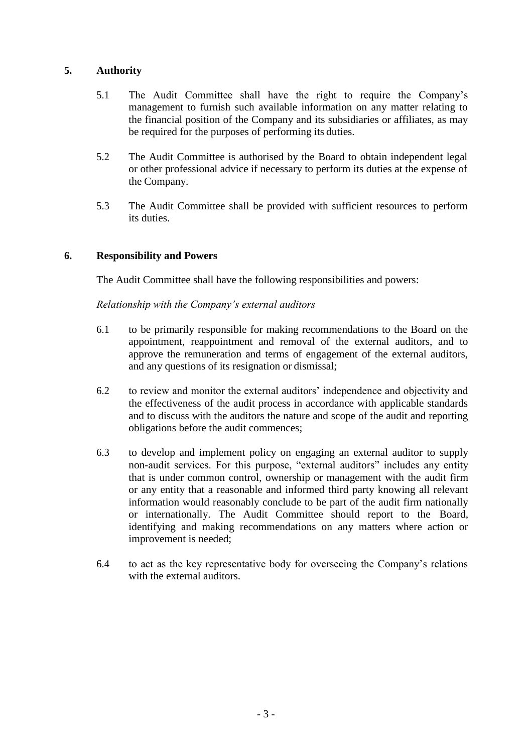## **5. Authority**

- 5.1 The Audit Committee shall have the right to require the Company's management to furnish such available information on any matter relating to the financial position of the Company and its subsidiaries or affiliates, as may be required for the purposes of performing its duties.
- 5.2 The Audit Committee is authorised by the Board to obtain independent legal or other professional advice if necessary to perform its duties at the expense of the Company.
- 5.3 The Audit Committee shall be provided with sufficient resources to perform its duties.

## **6. Responsibility and Powers**

The Audit Committee shall have the following responsibilities and powers:

#### *Relationship with the Company's external auditors*

- 6.1 to be primarily responsible for making recommendations to the Board on the appointment, reappointment and removal of the external auditors, and to approve the remuneration and terms of engagement of the external auditors, and any questions of its resignation or dismissal;
- 6.2 to review and monitor the external auditors' independence and objectivity and the effectiveness of the audit process in accordance with applicable standards and to discuss with the auditors the nature and scope of the audit and reporting obligations before the audit commences;
- 6.3 to develop and implement policy on engaging an external auditor to supply non-audit services. For this purpose, "external auditors" includes any entity that is under common control, ownership or management with the audit firm or any entity that a reasonable and informed third party knowing all relevant information would reasonably conclude to be part of the audit firm nationally or internationally. The Audit Committee should report to the Board, identifying and making recommendations on any matters where action or improvement is needed;
- 6.4 to act as the key representative body for overseeing the Company's relations with the external auditors.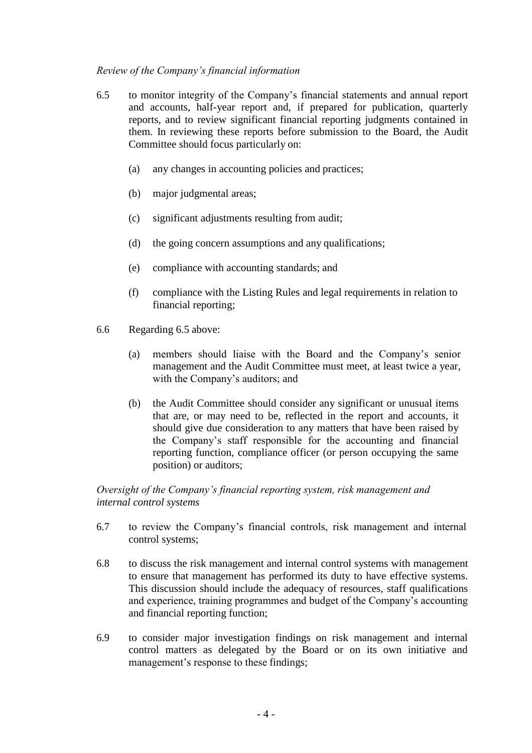## *Review of the Company's financial information*

- 6.5 to monitor integrity of the Company's financial statements and annual report and accounts, half-year report and, if prepared for publication, quarterly reports, and to review significant financial reporting judgments contained in them. In reviewing these reports before submission to the Board, the Audit Committee should focus particularly on:
	- (a) any changes in accounting policies and practices;
	- (b) major judgmental areas;
	- (c) significant adjustments resulting from audit;
	- (d) the going concern assumptions and any qualifications;
	- (e) compliance with accounting standards; and
	- (f) compliance with the Listing Rules and legal requirements in relation to financial reporting;
- 6.6 Regarding 6.5 above:
	- (a) members should liaise with the Board and the Company's senior management and the Audit Committee must meet, at least twice a year, with the Company's auditors; and
	- (b) the Audit Committee should consider any significant or unusual items that are, or may need to be, reflected in the report and accounts, it should give due consideration to any matters that have been raised by the Company's staff responsible for the accounting and financial reporting function, compliance officer (or person occupying the same position) or auditors;

# *Oversight of the Company's financial reporting system, risk management and internal control systems*

- 6.7 to review the Company's financial controls, risk management and internal control systems;
- 6.8 to discuss the risk management and internal control systems with management to ensure that management has performed its duty to have effective systems. This discussion should include the adequacy of resources, staff qualifications and experience, training programmes and budget of the Company's accounting and financial reporting function;
- 6.9 to consider major investigation findings on risk management and internal control matters as delegated by the Board or on its own initiative and management's response to these findings;